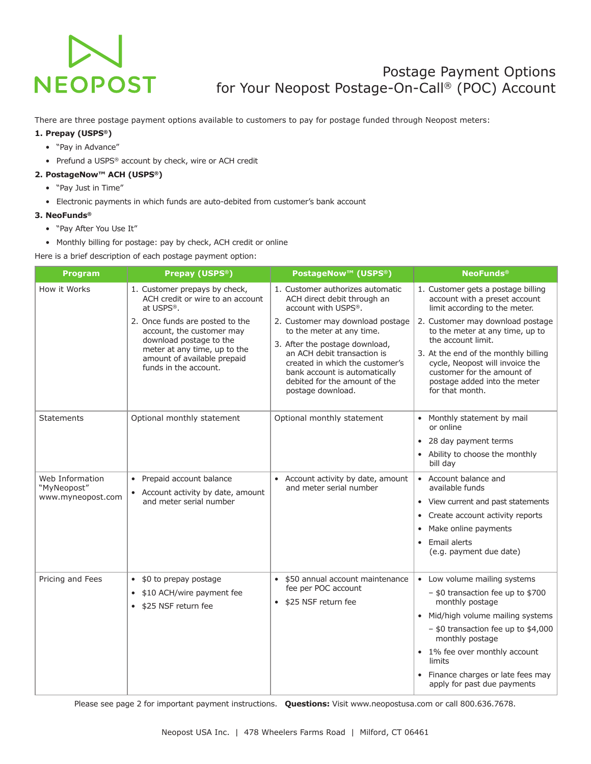# **NEOPOST**

# Postage Payment Options for Your Neopost Postage-On-Call® (POC) Account

There are three postage payment options available to customers to pay for postage funded through Neopost meters:

# **1. Prepay (USPS®)**

- "Pay in Advance"
- Prefund a USPS® account by check, wire or ACH credit

# **2. PostageNow™ ACH (USPS®)**

- "Pay Just in Time"
- Electronic payments in which funds are auto-debited from customer's bank account

# **3. NeoFunds®**

- "Pay After You Use It"
- Monthly billing for postage: pay by check, ACH credit or online

Here is a brief description of each postage payment option:

| <b>Program</b>                                      | Prepay (USPS <sup>®</sup> )                                                                                                                                                     | <b>PostageNow™ (USPS®)</b>                                                                                                                                                                                                                               | <b>NeoFunds®</b>                                                                                                                                                                                                                                                                                      |
|-----------------------------------------------------|---------------------------------------------------------------------------------------------------------------------------------------------------------------------------------|----------------------------------------------------------------------------------------------------------------------------------------------------------------------------------------------------------------------------------------------------------|-------------------------------------------------------------------------------------------------------------------------------------------------------------------------------------------------------------------------------------------------------------------------------------------------------|
| How it Works                                        | 1. Customer prepays by check,<br>ACH credit or wire to an account<br>at USPS®.                                                                                                  | 1. Customer authorizes automatic<br>ACH direct debit through an<br>account with USPS®.                                                                                                                                                                   | 1. Customer gets a postage billing<br>account with a preset account<br>limit according to the meter.                                                                                                                                                                                                  |
|                                                     | 2. Once funds are posted to the<br>account, the customer may<br>download postage to the<br>meter at any time, up to the<br>amount of available prepaid<br>funds in the account. | 2. Customer may download postage<br>to the meter at any time.<br>3. After the postage download,<br>an ACH debit transaction is<br>created in which the customer's<br>bank account is automatically<br>debited for the amount of the<br>postage download. | 2. Customer may download postage<br>to the meter at any time, up to<br>the account limit.<br>3. At the end of the monthly billing<br>cycle, Neopost will invoice the<br>customer for the amount of<br>postage added into the meter<br>for that month.                                                 |
| <b>Statements</b>                                   | Optional monthly statement                                                                                                                                                      | Optional monthly statement                                                                                                                                                                                                                               | • Monthly statement by mail<br>or online<br>• 28 day payment terms<br>• Ability to choose the monthly<br>bill day                                                                                                                                                                                     |
| Web Information<br>"MyNeopost"<br>www.myneopost.com | • Prepaid account balance<br>Account activity by date, amount<br>and meter serial number                                                                                        | Account activity by date, amount<br>$\bullet$<br>and meter serial number                                                                                                                                                                                 | • Account balance and<br>available funds<br>• View current and past statements<br>Create account activity reports<br>• Make online payments<br>Email alerts<br>$\bullet$<br>(e.g. payment due date)                                                                                                   |
| Pricing and Fees                                    | \$0 to prepay postage<br>$\bullet$<br>\$10 ACH/wire payment fee<br>\$25 NSF return fee                                                                                          | \$50 annual account maintenance<br>$\bullet$<br>fee per POC account<br>\$25 NSF return fee                                                                                                                                                               | • Low volume mailing systems<br>- \$0 transaction fee up to \$700<br>monthly postage<br>• Mid/high volume mailing systems<br>$-$ \$0 transaction fee up to \$4,000<br>monthly postage<br>• 1% fee over monthly account<br>limits<br>• Finance charges or late fees may<br>apply for past due payments |

Please see page 2 for important payment instructions. **Questions:** Visit www.neopostusa.com or call 800.636.7678.